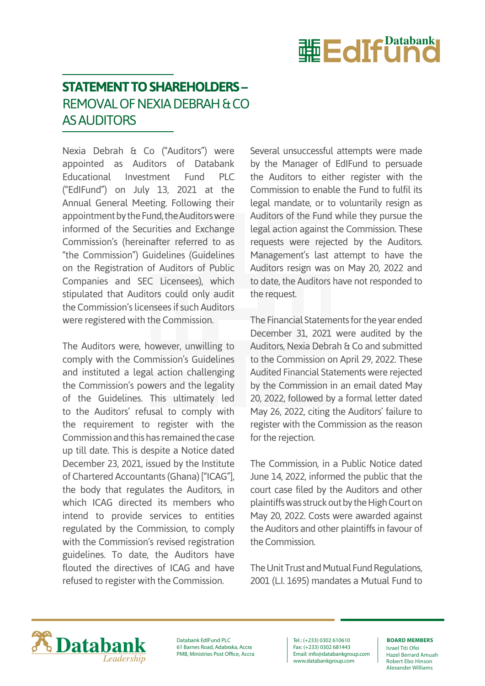

## **STATEMENT TO SHAREHOLDERS –** REMOVAL OF NEXIA DEBRAH & CO AS AUDITORS

Nexia Debrah & Co ("Auditors") were appointed as Auditors of Databank Educational Investment Fund PLC ("EdIFund") on July 13, 2021 at the Annual General Meeting. Following their appointment by the Fund, the Auditors were informed of the Securities and Exchange Commission's (hereinafter referred to as "the Commission") Guidelines (Guidelines on the Registration of Auditors of Public Companies and SEC Licensees), which stipulated that Auditors could only audit the Commission's licensees if such Auditors were registered with the Commission.

The Auditors were, however, unwilling to comply with the Commission's Guidelines and instituted a legal action challenging the Commission's powers and the legality of the Guidelines. This ultimately led to the Auditors' refusal to comply with the requirement to register with the Commission and this has remained the case up till date. This is despite a Notice dated December 23, 2021, issued by the Institute of Chartered Accountants (Ghana) ["ICAG"], the body that regulates the Auditors, in which ICAG directed its members who intend to provide services to entities regulated by the Commission, to comply with the Commission's revised registration guidelines. To date, the Auditors have flouted the directives of ICAG and have refused to register with the Commission.

Several unsuccessful attempts were made by the Manager of EdIFund to persuade the Auditors to either register with the Commission to enable the Fund to fulfil its legal mandate, or to voluntarily resign as Auditors of the Fund while they pursue the legal action against the Commission. These requests were rejected by the Auditors. Management's last attempt to have the Auditors resign was on May 20, 2022 and to date, the Auditors have not responded to the request.

The Financial Statements for the year ended December 31, 2021 were audited by the Auditors, Nexia Debrah & Co and submitted to the Commission on April 29, 2022. These Audited Financial Statements were rejected by the Commission in an email dated May 20, 2022, followed by a formal letter dated May 26, 2022, citing the Auditors' failure to register with the Commission as the reason for the rejection.

The Commission, in a Public Notice dated June 14, 2022, informed the public that the court case filed by the Auditors and other plaintiffs was struck out by the High Court on May 20, 2022. Costs were awarded against the Auditors and other plaintiffs in favour of the Commission.

The Unit Trust and Mutual Fund Regulations, 2001 (L.I. 1695) mandates a Mutual Fund to



Databank EdIFund PLC 61 Barnes Road, Adabraka, Accra PMB, Ministries Post Office, Accra

Tel.: (+233) 0302 610610 Fax: (+233) 0302 681443 Email: info@databankgroup.com www.databankgroup.com

## **BOARD MEMBERS**

Israel Titi Ofei Hazel Berrard Amuah Robert Ebo Hinson Alexander Williams